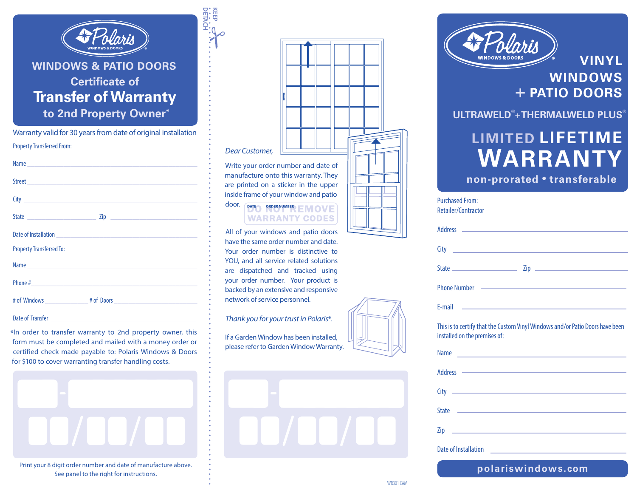

**DETACH KEEP**

## **WINDOWS & PATIO DOORS Certificate of Transfer of Warranty to 2nd Property Owner\***

Property Transferred From: Warranty valid for 30 years from date of original installation

|                                                                                                                                                                                                                                | Zip <u>and the contract of the contract of the contract of the contract of the contract of the contract of the contract of the contract of the contract of the contract of the contract of the contract of the contract of the c</u> |
|--------------------------------------------------------------------------------------------------------------------------------------------------------------------------------------------------------------------------------|--------------------------------------------------------------------------------------------------------------------------------------------------------------------------------------------------------------------------------------|
|                                                                                                                                                                                                                                |                                                                                                                                                                                                                                      |
| <b>Property Transferred To:</b>                                                                                                                                                                                                |                                                                                                                                                                                                                                      |
| Name experience and a series of the series of the series of the series of the series of the series of the series of the series of the series of the series of the series of the series of the series of the series of the seri |                                                                                                                                                                                                                                      |
|                                                                                                                                                                                                                                |                                                                                                                                                                                                                                      |
|                                                                                                                                                                                                                                |                                                                                                                                                                                                                                      |
| Date of Transfer                                                                                                                                                                                                               |                                                                                                                                                                                                                                      |

\*In order to transfer warranty to 2nd property owner, this form must be completed and mailed with a money order or certified check made payable to: Polaris Windows & Doors for \$100 to cover warranting transfer handling costs.



See panel to the right for instructions.

| Dear Customer,                                                                                                       |  |  |  |  |  |   |  |
|----------------------------------------------------------------------------------------------------------------------|--|--|--|--|--|---|--|
| Write your order number and date of<br>manufacture onto this warranty. They<br>are printed on a sticker in the upper |  |  |  |  |  | Ш |  |

 $\equiv$ 

### door. (DATE) ORDER NUMBER EMOVE **WARRANTY CODES**

inside frame of your window and patio

All of your windows and patio doors have the same order number and date. Your order number is distinctive to YOU, and all service related solutions are dispatched and tracked using your order number. Your product is backed by an extensive and responsive network of service personnel.

*Thank you for your trust in Polaris*®.

If a Garden Window has been installed, please refer to Garden Window Warranty.





Purchased From:

**VINYL WINDOWS** + **PATIO DOORS**

**ULTRAWELD®** +**THERMALWELD PLUS®**

# **LIMITED LIFETIME WARRANTY**

**non-prorated • transferable**

| I UILIIQSEU I IUIII.<br>Retailer/Contractor                                                                                                                                                                                    |
|--------------------------------------------------------------------------------------------------------------------------------------------------------------------------------------------------------------------------------|
|                                                                                                                                                                                                                                |
|                                                                                                                                                                                                                                |
|                                                                                                                                                                                                                                |
| Phone Number —————————————————————————                                                                                                                                                                                         |
| E-mail <b>E-mail E-mail E-mail E-mail E-mail E-mail E-mail E-mail E-mail E-mail E-mail E-mail E-mail E-mail E-mail E-mail E-mail E-mail E-mail E-mail E-mail E-mail E-mail E-mail</b>                                          |
| This is to certify that the Custom Vinyl Windows and/or Patio Doors have been<br>installed on the premises of:                                                                                                                 |
| <b>Name</b><br><u> 1989 - Andrea Stadt Britain, amerikansk politiker (</u>                                                                                                                                                     |
| Address - Address - Address - Address - Address - Address - Address - Address - Address - Address - Address - Address - Address - Address - Address - Address - Address - Address - Address - Address - Address - Address - Ad |
|                                                                                                                                                                                                                                |

| <b>Name</b>          | <u> 1989 - Andrea Albert III, martin amerikan bahasa dalam personal dan bahasa dalam personal dan bahasa dalam pe</u> |                                                                                                                            |  |
|----------------------|-----------------------------------------------------------------------------------------------------------------------|----------------------------------------------------------------------------------------------------------------------------|--|
|                      |                                                                                                                       | Address <b>Container and Container and Container and Container and Container and Container and Container and Container</b> |  |
|                      |                                                                                                                       |                                                                                                                            |  |
| <b>State</b>         | the contract of the contract of the contract of the contract of the contract of                                       |                                                                                                                            |  |
| Zip                  | the control of the control of the control of                                                                          |                                                                                                                            |  |
| Date of Installation |                                                                                                                       |                                                                                                                            |  |

**polariswindows.com**